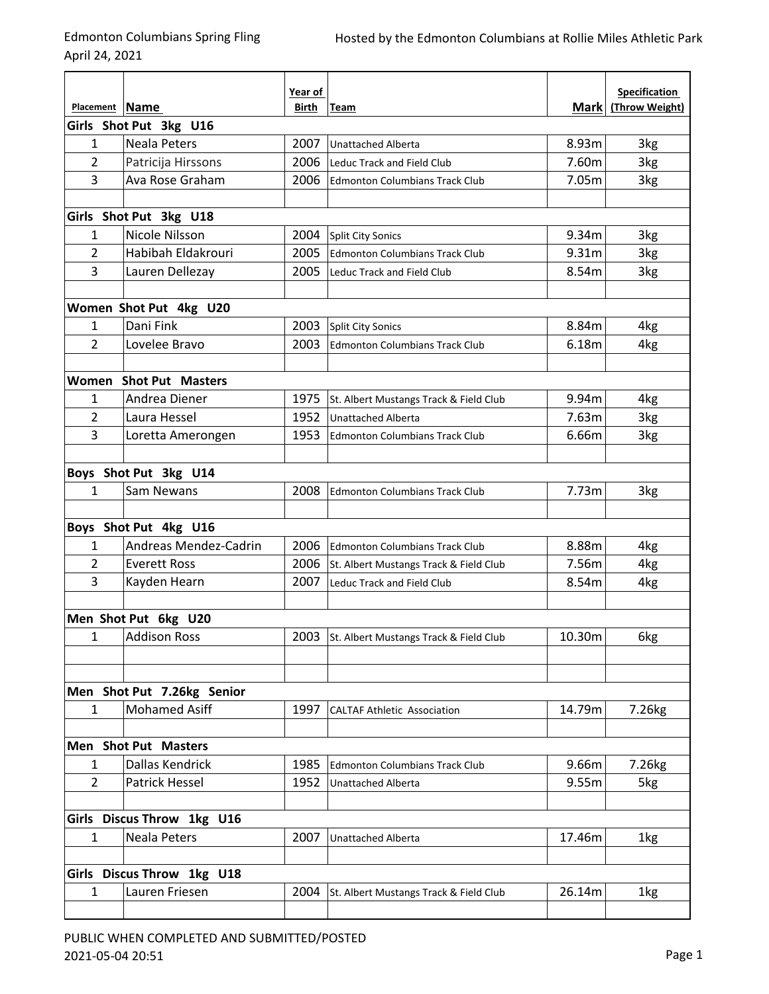April 24, 2021

|                |                               | Year of      |                                             |             | <b>Specification</b> |  |  |  |
|----------------|-------------------------------|--------------|---------------------------------------------|-------------|----------------------|--|--|--|
| Placement Name |                               | <b>Birth</b> | Team                                        | <b>Mark</b> | (Throw Weight)       |  |  |  |
|                | Girls Shot Put 3kg U16        |              |                                             |             |                      |  |  |  |
| $\mathbf{1}$   | <b>Neala Peters</b>           | 2007         | <b>Unattached Alberta</b>                   | 8.93m       | 3kg                  |  |  |  |
| 2              | Patricija Hirssons            | 2006         | Leduc Track and Field Club                  | 7.60m       | 3kg                  |  |  |  |
| 3              | Ava Rose Graham               | 2006         | <b>Edmonton Columbians Track Club</b>       | 7.05m       | 3kg                  |  |  |  |
|                |                               |              |                                             |             |                      |  |  |  |
|                | Girls Shot Put 3kg U18        |              |                                             |             |                      |  |  |  |
| $\mathbf{1}$   | Nicole Nilsson                | 2004         | <b>Split City Sonics</b>                    | 9.34m       | 3kg                  |  |  |  |
| 2              | Habibah Eldakrouri            | 2005         | <b>Edmonton Columbians Track Club</b>       | 9.31m       | 3kg                  |  |  |  |
| 3              | Lauren Dellezay               | 2005         | Leduc Track and Field Club                  | 8.54m       | 3kg                  |  |  |  |
|                | Women Shot Put 4kg U20        |              |                                             |             |                      |  |  |  |
| $\mathbf{1}$   | Dani Fink                     | 2003         | <b>Split City Sonics</b>                    | 8.84m       | 4kg                  |  |  |  |
| 2              | Lovelee Bravo                 | 2003         | <b>Edmonton Columbians Track Club</b>       | 6.18m       | 4 <sub>kg</sub>      |  |  |  |
|                |                               |              |                                             |             |                      |  |  |  |
|                | <b>Women Shot Put Masters</b> |              |                                             |             |                      |  |  |  |
| $\mathbf{1}$   | Andrea Diener                 | 1975         | St. Albert Mustangs Track & Field Club      | 9.94m       | 4 <sub>kg</sub>      |  |  |  |
| $\overline{2}$ | Laura Hessel                  | 1952         | <b>Unattached Alberta</b>                   | 7.63m       | 3kg                  |  |  |  |
| 3              | Loretta Amerongen             | 1953         | <b>Edmonton Columbians Track Club</b>       | 6.66m       | 3kg                  |  |  |  |
|                |                               |              |                                             |             |                      |  |  |  |
|                | Boys Shot Put 3kg U14         |              |                                             |             |                      |  |  |  |
| $\mathbf{1}$   | Sam Newans                    | 2008         | <b>Edmonton Columbians Track Club</b>       | 7.73m       | 3kg                  |  |  |  |
|                | Boys Shot Put 4kg U16         |              |                                             |             |                      |  |  |  |
| 1              | Andreas Mendez-Cadrin         | 2006         | <b>Edmonton Columbians Track Club</b>       | 8.88m       | 4kg                  |  |  |  |
| $\overline{2}$ | <b>Everett Ross</b>           | 2006         | St. Albert Mustangs Track & Field Club      | 7.56m       | 4kg                  |  |  |  |
| 3              | Kayden Hearn                  | 2007         | Leduc Track and Field Club                  | 8.54m       | 4kg                  |  |  |  |
|                | Men Shot Put 6kg U20          |              |                                             |             |                      |  |  |  |
| 1              | <b>Addison Ross</b>           |              | 2003 St. Albert Mustangs Track & Field Club | 10.30m      | 6kg                  |  |  |  |
|                |                               |              |                                             |             |                      |  |  |  |
|                | Men Shot Put 7.26kg Senior    |              |                                             |             |                      |  |  |  |
| $\mathbf{1}$   | <b>Mohamed Asiff</b>          | 1997         | <b>CALTAF Athletic Association</b>          | 14.79m      | 7.26kg               |  |  |  |
|                |                               |              |                                             |             |                      |  |  |  |
|                | Men Shot Put Masters          |              |                                             |             |                      |  |  |  |
| 1              | Dallas Kendrick               | 1985         | <b>Edmonton Columbians Track Club</b>       | 9.66m       | 7.26kg               |  |  |  |
| $\overline{2}$ | <b>Patrick Hessel</b>         | 1952         | <b>Unattached Alberta</b>                   | 9.55m       | 5kg                  |  |  |  |
|                |                               |              |                                             |             |                      |  |  |  |
|                | Girls Discus Throw 1kg U16    |              |                                             |             |                      |  |  |  |
| $\mathbf{1}$   | <b>Neala Peters</b>           | 2007         | <b>Unattached Alberta</b>                   | 17.46m      | 1kg                  |  |  |  |
|                | Girls Discus Throw 1kg U18    |              |                                             |             |                      |  |  |  |
| 1              | Lauren Friesen                | 2004         | St. Albert Mustangs Track & Field Club      | 26.14m      | 1kg                  |  |  |  |
|                |                               |              |                                             |             |                      |  |  |  |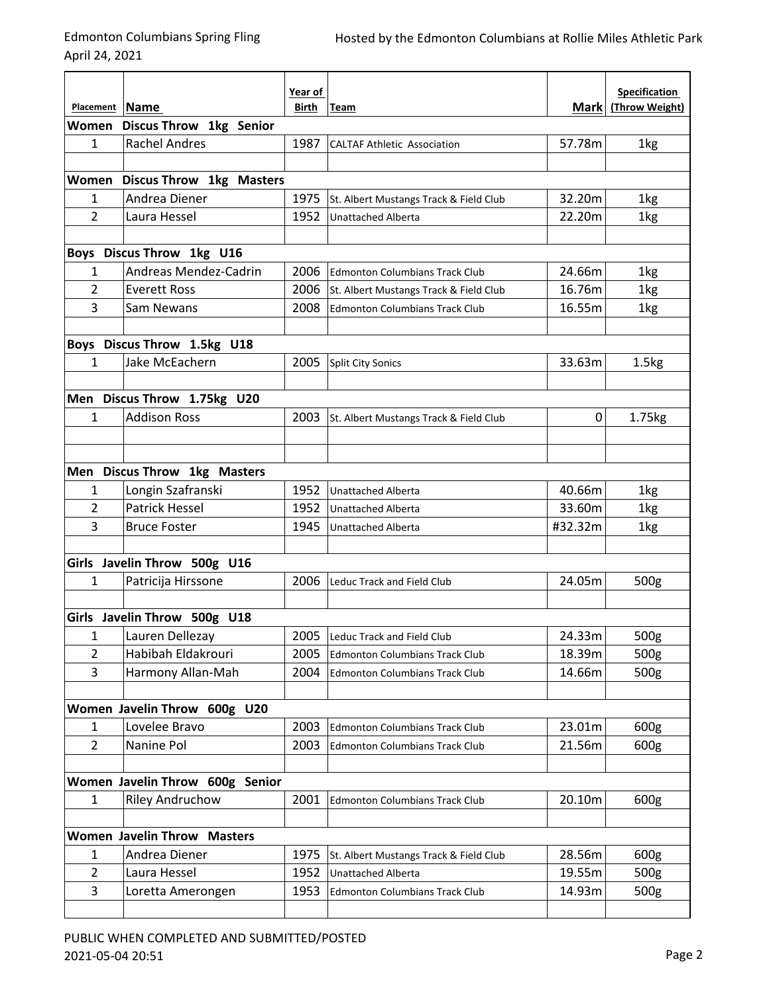April 24, 2021

|                                 |                                               | Year of |                                        |             | <b>Specification</b> |  |  |  |
|---------------------------------|-----------------------------------------------|---------|----------------------------------------|-------------|----------------------|--|--|--|
| Placement Name                  |                                               | Birth   | Team                                   | <b>Mark</b> | (Throw Weight)       |  |  |  |
| Women                           | <b>Discus Throw 1kg Senior</b>                |         |                                        |             |                      |  |  |  |
| 1                               | <b>Rachel Andres</b>                          | 1987    | <b>CALTAF Athletic Association</b>     | 57.78m      | 1kg                  |  |  |  |
|                                 |                                               |         |                                        |             |                      |  |  |  |
|                                 | Women Discus Throw 1kg Masters                |         |                                        |             |                      |  |  |  |
| $\mathbf{1}$                    | Andrea Diener                                 | 1975    | St. Albert Mustangs Track & Field Club | 32.20m      | 1kg                  |  |  |  |
| $\overline{2}$                  | Laura Hessel                                  | 1952    | <b>Unattached Alberta</b>              | 22.20m      | 1kg                  |  |  |  |
|                                 |                                               |         |                                        |             |                      |  |  |  |
|                                 | Boys Discus Throw 1kg U16                     |         |                                        |             |                      |  |  |  |
| 1                               | Andreas Mendez-Cadrin                         | 2006    | <b>Edmonton Columbians Track Club</b>  | 24.66m      | 1kg                  |  |  |  |
| 2                               | <b>Everett Ross</b>                           | 2006    | St. Albert Mustangs Track & Field Club | 16.76m      | 1kg                  |  |  |  |
| 3                               | Sam Newans                                    | 2008    | <b>Edmonton Columbians Track Club</b>  | 16.55m      | 1kg                  |  |  |  |
|                                 |                                               |         |                                        |             |                      |  |  |  |
|                                 | Boys Discus Throw 1.5kg U18<br>Jake McEachern | 2005    |                                        |             |                      |  |  |  |
| 1                               |                                               |         | <b>Split City Sonics</b>               | 33.63m      | 1.5 <sub>kg</sub>    |  |  |  |
|                                 | Men Discus Throw 1.75kg U20                   |         |                                        |             |                      |  |  |  |
| 1                               | <b>Addison Ross</b>                           | 2003    |                                        | 0           |                      |  |  |  |
|                                 |                                               |         | St. Albert Mustangs Track & Field Club |             | 1.75kg               |  |  |  |
|                                 |                                               |         |                                        |             |                      |  |  |  |
|                                 | Men Discus Throw 1kg Masters                  |         |                                        |             |                      |  |  |  |
| 1                               | Longin Szafranski                             | 1952    | Unattached Alberta                     | 40.66m      | 1kg                  |  |  |  |
| 2                               | <b>Patrick Hessel</b>                         | 1952    | Unattached Alberta                     | 33.60m      | 1kg                  |  |  |  |
| 3                               | <b>Bruce Foster</b>                           | 1945    | <b>Unattached Alberta</b>              | #32.32m     | 1kg                  |  |  |  |
|                                 |                                               |         |                                        |             |                      |  |  |  |
|                                 | Girls Javelin Throw 500g U16                  |         |                                        |             |                      |  |  |  |
| $\mathbf{1}$                    | Patricija Hirssone                            | 2006    | Leduc Track and Field Club             | 24.05m      | 500g                 |  |  |  |
|                                 |                                               |         |                                        |             |                      |  |  |  |
|                                 | Girls Javelin Throw 500g U18                  |         |                                        |             |                      |  |  |  |
| $\mathbf 1$                     | Lauren Dellezay                               |         | 2005 Leduc Track and Field Club        | 24.33m      | 500g                 |  |  |  |
| $\overline{2}$                  | Habibah Eldakrouri                            | 2005    | <b>Edmonton Columbians Track Club</b>  | 18.39m      | 500g                 |  |  |  |
| 3                               | Harmony Allan-Mah                             | 2004    | <b>Edmonton Columbians Track Club</b>  | 14.66m      | 500g                 |  |  |  |
|                                 |                                               |         |                                        |             |                      |  |  |  |
|                                 | Women Javelin Throw 600g U20                  |         |                                        |             |                      |  |  |  |
| 1                               | Lovelee Bravo                                 | 2003    | <b>Edmonton Columbians Track Club</b>  | 23.01m      | 600g                 |  |  |  |
| $\overline{2}$                  | Nanine Pol                                    | 2003    | <b>Edmonton Columbians Track Club</b>  | 21.56m      | 600g                 |  |  |  |
|                                 |                                               |         |                                        |             |                      |  |  |  |
| Women Javelin Throw 600g Senior |                                               |         |                                        |             |                      |  |  |  |
| $\mathbf{1}$                    | <b>Riley Andruchow</b>                        | 2001    | <b>Edmonton Columbians Track Club</b>  | 20.10m      | 600g                 |  |  |  |
|                                 |                                               |         |                                        |             |                      |  |  |  |
|                                 | <b>Women Javelin Throw Masters</b>            |         |                                        |             |                      |  |  |  |
| $\mathbf{1}$                    | Andrea Diener                                 | 1975    | St. Albert Mustangs Track & Field Club | 28.56m      | 600g                 |  |  |  |
| $\overline{2}$                  | Laura Hessel                                  | 1952    | <b>Unattached Alberta</b>              | 19.55m      | 500g                 |  |  |  |
| 3                               | Loretta Amerongen                             | 1953    | <b>Edmonton Columbians Track Club</b>  | 14.93m      | 500g                 |  |  |  |
|                                 |                                               |         |                                        |             |                      |  |  |  |